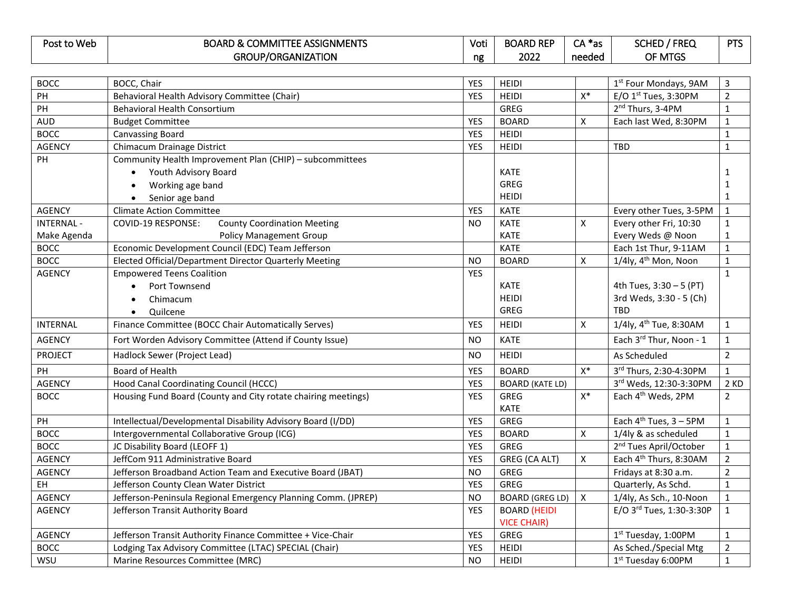| Post to Web | : ASSIGNMENTS<br><b>BOARD &amp; COMMIT</b><br>1 F.F | Voti | <b>BOARD REP</b> | .<br>$\mathbf{a}$<br>as '<br>$\cdot$ $\sim$ | <b>FREC</b><br>courr<br><b>JUNEU</b> | $- - -$ |
|-------------|-----------------------------------------------------|------|------------------|---------------------------------------------|--------------------------------------|---------|
|             | <b>GROUP/ORGANIZATION</b>                           | ng   | 2022             | needed                                      | OF MTGS                              |         |

| <b>BOCC</b>      | BOCC, Chair                                                   | <b>YES</b> | <b>HEIDI</b>           |              | 1 <sup>st</sup> Four Mondays, 9AM  | $\mathsf{3}$   |
|------------------|---------------------------------------------------------------|------------|------------------------|--------------|------------------------------------|----------------|
| PH               | Behavioral Health Advisory Committee (Chair)                  | <b>YES</b> | <b>HEIDI</b>           | $X^*$        | E/O $1st$ Tues, 3:30PM             | $\overline{2}$ |
| PH               | <b>Behavioral Health Consortium</b>                           |            | <b>GREG</b>            |              | 2 <sup>nd</sup> Thurs, 3-4PM       | $\mathbf 1$    |
| <b>AUD</b>       | <b>Budget Committee</b>                                       | <b>YES</b> | <b>BOARD</b>           | X            | Each last Wed, 8:30PM              | $\mathbf 1$    |
| <b>BOCC</b>      | <b>Canvassing Board</b>                                       | <b>YES</b> | <b>HEIDI</b>           |              |                                    | $\mathbf{1}$   |
| <b>AGENCY</b>    | Chimacum Drainage District                                    | <b>YES</b> | <b>HEIDI</b>           |              | <b>TBD</b>                         | $\mathbf{1}$   |
| PH               | Community Health Improvement Plan (CHIP) - subcommittees      |            |                        |              |                                    |                |
|                  | Youth Advisory Board<br>$\bullet$                             |            | <b>KATE</b>            |              |                                    | $\mathbf{1}$   |
|                  | Working age band<br>$\bullet$                                 |            | <b>GREG</b>            |              |                                    | $\mathbf{1}$   |
|                  | Senior age band<br>$\bullet$                                  |            | <b>HEIDI</b>           |              |                                    | $\mathbf{1}$   |
| <b>AGENCY</b>    | <b>Climate Action Committee</b>                               | <b>YES</b> | <b>KATE</b>            |              | Every other Tues, 3-5PM            | $\mathbf{1}$   |
| <b>INTERNAL-</b> | <b>County Coordination Meeting</b><br>COVID-19 RESPONSE:      | NO.        | <b>KATE</b>            | Χ            | Every other Fri, 10:30             | $\mathbf{1}$   |
| Make Agenda      | <b>Policy Management Group</b>                                |            | <b>KATE</b>            |              | Every Weds @ Noon                  | $\mathbf{1}$   |
| <b>BOCC</b>      | Economic Development Council (EDC) Team Jefferson             |            | <b>KATE</b>            |              | Each 1st Thur, 9-11AM              | $\mathbf{1}$   |
| <b>BOCC</b>      | Elected Official/Department Director Quarterly Meeting        | NO.        | <b>BOARD</b>           | X            | $1/4$ ly, $4th$ Mon, Noon          | $\mathbf{1}$   |
| <b>AGENCY</b>    | <b>Empowered Teens Coalition</b>                              | <b>YES</b> |                        |              |                                    | $\mathbf{1}$   |
|                  | Port Townsend<br>$\bullet$                                    |            | <b>KATE</b>            |              | 4th Tues, 3:30 - 5 (PT)            |                |
|                  | Chimacum<br>$\bullet$                                         |            | <b>HEIDI</b>           |              | 3rd Weds, 3:30 - 5 (Ch)            |                |
|                  | Quilcene<br>$\bullet$                                         |            | <b>GREG</b>            |              | <b>TBD</b>                         |                |
| <b>INTERNAL</b>  | Finance Committee (BOCC Chair Automatically Serves)           | <b>YES</b> | <b>HEIDI</b>           | X            | 1/4ly, 4 <sup>th</sup> Tue, 8:30AM | $\mathbf{1}$   |
| <b>AGENCY</b>    | Fort Worden Advisory Committee (Attend if County Issue)       | NO.        | <b>KATE</b>            |              | Each 3rd Thur, Noon - 1            | $\mathbf{1}$   |
| <b>PROJECT</b>   | Hadlock Sewer (Project Lead)                                  | <b>NO</b>  | <b>HEIDI</b>           |              | As Scheduled                       | $\overline{2}$ |
| PH               | Board of Health                                               | <b>YES</b> | <b>BOARD</b>           | $X^*$        | 3rd Thurs, 2:30-4:30PM             | $\mathbf{1}$   |
| <b>AGENCY</b>    | Hood Canal Coordinating Council (HCCC)                        | <b>YES</b> | <b>BOARD (KATE LD)</b> |              | 3rd Weds, 12:30-3:30PM             | 2 KD           |
| <b>BOCC</b>      | Housing Fund Board (County and City rotate chairing meetings) | <b>YES</b> | <b>GREG</b>            | $X^*$        | Each 4 <sup>th</sup> Weds, 2PM     | $\overline{2}$ |
|                  |                                                               |            | <b>KATE</b>            |              |                                    |                |
| PH               | Intellectual/Developmental Disability Advisory Board (I/DD)   | <b>YES</b> | <b>GREG</b>            |              | Each $4^{th}$ Tues, $3 - 5$ PM     | $\mathbf{1}$   |
| <b>BOCC</b>      | Intergovernmental Collaborative Group (ICG)                   | <b>YES</b> | <b>BOARD</b>           | X            | 1/4ly & as scheduled               | $\mathbf{1}$   |
| <b>BOCC</b>      | JC Disability Board (LEOFF 1)                                 | <b>YES</b> | <b>GREG</b>            |              | 2 <sup>nd</sup> Tues April/October | $\mathbf{1}$   |
| <b>AGENCY</b>    | JeffCom 911 Administrative Board                              | <b>YES</b> | GREG (CA ALT)          | X            | Each 4 <sup>th</sup> Thurs, 8:30AM | $\mathbf 2$    |
| <b>AGENCY</b>    | Jefferson Broadband Action Team and Executive Board (JBAT)    | <b>NO</b>  | <b>GREG</b>            |              | Fridays at 8:30 a.m.               | $\mathbf 2$    |
| EH               | Jefferson County Clean Water District                         | <b>YES</b> | <b>GREG</b>            |              | Quarterly, As Schd.                | $\mathbf{1}$   |
| <b>AGENCY</b>    | Jefferson-Peninsula Regional Emergency Planning Comm. (JPREP) | <b>NO</b>  | <b>BOARD (GREG LD)</b> | $\mathsf{x}$ | 1/4ly, As Sch., 10-Noon            | $\mathbf{1}$   |
| <b>AGENCY</b>    | Jefferson Transit Authority Board                             | <b>YES</b> | <b>BOARD (HEIDI</b>    |              | E/O 3rd Tues, 1:30-3:30P           | $\mathbf{1}$   |
|                  |                                                               |            | <b>VICE CHAIR)</b>     |              |                                    |                |
| <b>AGENCY</b>    | Jefferson Transit Authority Finance Committee + Vice-Chair    | <b>YES</b> | <b>GREG</b>            |              | 1st Tuesday, 1:00PM                | $\mathbf{1}$   |
| <b>BOCC</b>      | Lodging Tax Advisory Committee (LTAC) SPECIAL (Chair)         | <b>YES</b> | <b>HEIDI</b>           |              | As Sched./Special Mtg              | $\overline{2}$ |
| WSU              | Marine Resources Committee (MRC)                              | <b>NO</b>  | <b>HEIDI</b>           |              | 1 <sup>st</sup> Tuesday 6:00PM     | $\mathbf 1$    |